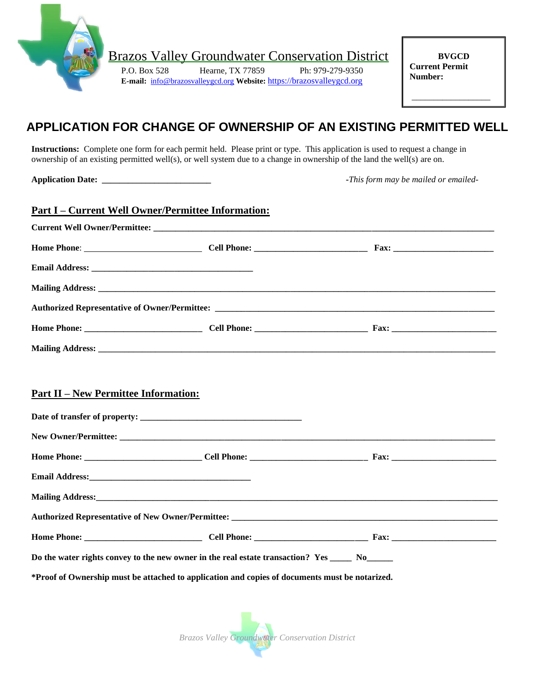

Brazos Valley Groundwater Conservation District

P.O. Box 528 Hearne, TX 77859 Ph: 979-279-9350 **E-mail:** [info@brazosvalleygcd.org](mailto:info@brazosvalleygcd.org) **Website:** [https://brazosvalleygcd.org](https://brazosvalleygcd.org/)

**BVGCD Current Permit Number:**

\_\_\_\_\_\_\_\_\_\_\_\_\_\_\_\_\_\_

## **APPLICATION FOR CHANGE OF OWNERSHIP OF AN EXISTING PERMITTED WELL**

**Instructions:** Complete one form for each permit held. Please print or type. This application is used to request a change in ownership of an existing permitted well(s), or well system due to a change in ownership of the land the well(s) are on.

**Application Date:**  $\blacksquare$  *Application Date:*  $\blacksquare$ 

|                                             | <u> Part I – Current Well Owner/Permittee Information:</u>                                                     |  |
|---------------------------------------------|----------------------------------------------------------------------------------------------------------------|--|
|                                             |                                                                                                                |  |
|                                             |                                                                                                                |  |
|                                             |                                                                                                                |  |
|                                             |                                                                                                                |  |
|                                             |                                                                                                                |  |
|                                             |                                                                                                                |  |
|                                             |                                                                                                                |  |
|                                             |                                                                                                                |  |
| <b>Part II - New Permittee Information:</b> |                                                                                                                |  |
|                                             |                                                                                                                |  |
|                                             |                                                                                                                |  |
|                                             |                                                                                                                |  |
|                                             |                                                                                                                |  |
|                                             | Mailing Address: 1988 and 2008 and 2008 and 2008 and 2008 and 2008 and 2008 and 2008 and 2008 and 2008 and 200 |  |
|                                             |                                                                                                                |  |
|                                             |                                                                                                                |  |
|                                             | Do the water rights convey to the new owner in the real estate transaction? Yes No                             |  |
|                                             | *Proof of Ownership must be attached to application and copies of documents must be notarized.                 |  |